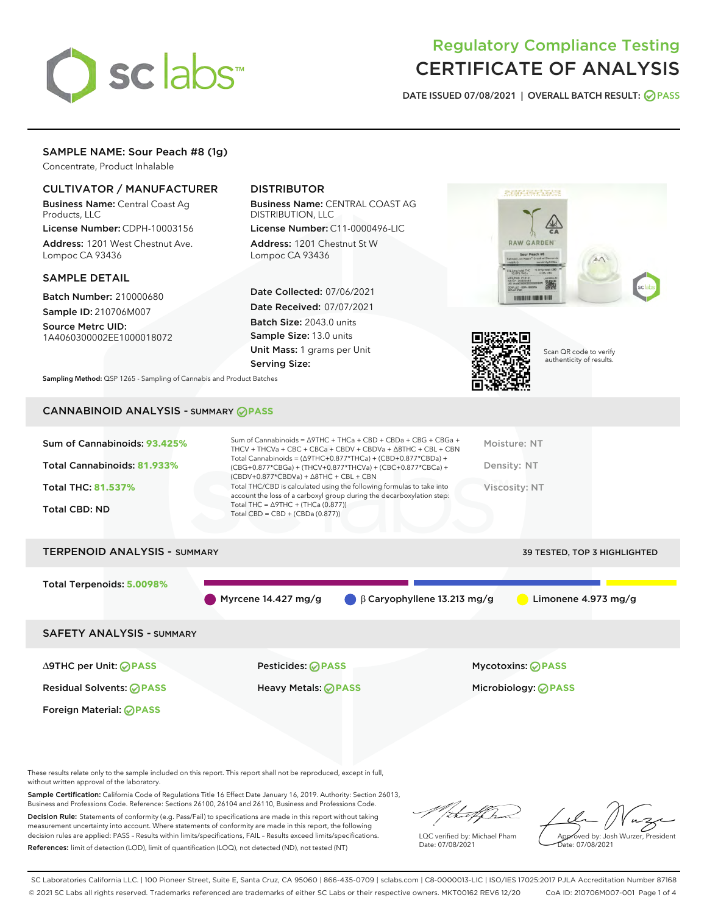

# Regulatory Compliance Testing CERTIFICATE OF ANALYSIS

DATE ISSUED 07/08/2021 | OVERALL BATCH RESULT: @ PASS

# SAMPLE NAME: Sour Peach #8 (1g)

Concentrate, Product Inhalable

## CULTIVATOR / MANUFACTURER

Business Name: Central Coast Ag Products, LLC

License Number: CDPH-10003156 Address: 1201 West Chestnut Ave. Lompoc CA 93436

## SAMPLE DETAIL

Batch Number: 210000680 Sample ID: 210706M007

Source Metrc UID: 1A4060300002EE1000018072

# DISTRIBUTOR

Business Name: CENTRAL COAST AG DISTRIBUTION, LLC

License Number: C11-0000496-LIC Address: 1201 Chestnut St W Lompoc CA 93436

Date Collected: 07/06/2021 Date Received: 07/07/2021 Batch Size: 2043.0 units Sample Size: 13.0 units Unit Mass: 1 grams per Unit Serving Size:





Scan QR code to verify authenticity of results.

Sampling Method: QSP 1265 - Sampling of Cannabis and Product Batches

## CANNABINOID ANALYSIS - SUMMARY **PASS**

# TERPENOID ANALYSIS - SUMMARY 39 TESTED, TOP 3 HIGHLIGHTED

Total Terpenoids: **5.0098%**

Myrcene 14.427 mg/g β Caryophyllene 13.213 mg/g Limonene 4.973 mg/g

## SAFETY ANALYSIS - SUMMARY

∆9THC per Unit: **PASS** Pesticides: **PASS** Mycotoxins: **PASS**

Foreign Material: **PASS**

Residual Solvents: **PASS** Heavy Metals: **PASS** Microbiology: **PASS**

These results relate only to the sample included on this report. This report shall not be reproduced, except in full, without written approval of the laboratory.

Sample Certification: California Code of Regulations Title 16 Effect Date January 16, 2019. Authority: Section 26013, Business and Professions Code. Reference: Sections 26100, 26104 and 26110, Business and Professions Code.

Decision Rule: Statements of conformity (e.g. Pass/Fail) to specifications are made in this report without taking measurement uncertainty into account. Where statements of conformity are made in this report, the following decision rules are applied: PASS – Results within limits/specifications, FAIL – Results exceed limits/specifications. References: limit of detection (LOD), limit of quantification (LOQ), not detected (ND), not tested (NT)

that f h

LQC verified by: Michael Pham Date: 07/08/2021

Approved by: Josh Wurzer, President ate: 07/08/2021

SC Laboratories California LLC. | 100 Pioneer Street, Suite E, Santa Cruz, CA 95060 | 866-435-0709 | sclabs.com | C8-0000013-LIC | ISO/IES 17025:2017 PJLA Accreditation Number 87168 © 2021 SC Labs all rights reserved. Trademarks referenced are trademarks of either SC Labs or their respective owners. MKT00162 REV6 12/20 CoA ID: 210706M007-001 Page 1 of 4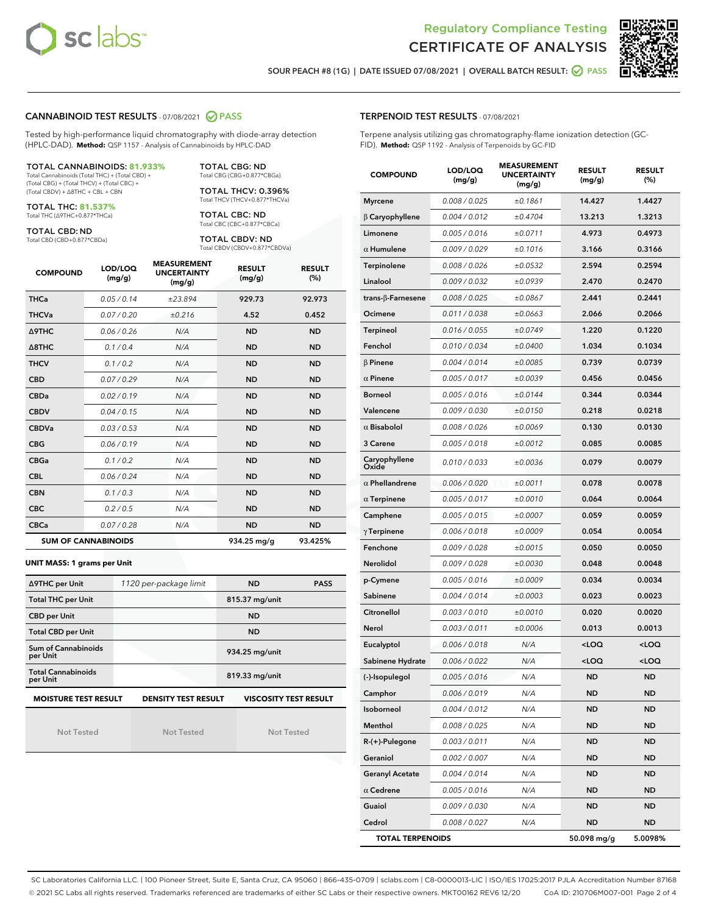



SOUR PEACH #8 (1G) | DATE ISSUED 07/08/2021 | OVERALL BATCH RESULT: **○** PASS

## CANNABINOID TEST RESULTS - 07/08/2021 2 PASS

Tested by high-performance liquid chromatography with diode-array detection (HPLC-DAD). **Method:** QSP 1157 - Analysis of Cannabinoids by HPLC-DAD

#### TOTAL CANNABINOIDS: **81.933%**

Total Cannabinoids (Total THC) + (Total CBD) + (Total CBG) + (Total THCV) + (Total CBC) + (Total CBDV) + ∆8THC + CBL + CBN

TOTAL THC: **81.537%** Total THC (∆9THC+0.877\*THCa)

TOTAL CBD: ND

Total CBD (CBD+0.877\*CBDa)

TOTAL CBG: ND Total CBG (CBG+0.877\*CBGa)

TOTAL THCV: 0.396% Total THCV (THCV+0.877\*THCVa)

TOTAL CBC: ND Total CBC (CBC+0.877\*CBCa)

TOTAL CBDV: ND Total CBDV (CBDV+0.877\*CBDVa)

| <b>COMPOUND</b>            | LOD/LOQ<br>(mg/g) | <b>MEASUREMENT</b><br><b>UNCERTAINTY</b><br>(mg/g) | <b>RESULT</b><br>(mg/g) | <b>RESULT</b><br>(%) |
|----------------------------|-------------------|----------------------------------------------------|-------------------------|----------------------|
| <b>THCa</b>                | 0.05/0.14         | ±23.894                                            | 929.73                  | 92.973               |
| <b>THCVa</b>               | 0.07/0.20         | ±0.216                                             | 4.52                    | 0.452                |
| <b>A9THC</b>               | 0.06 / 0.26       | N/A                                                | <b>ND</b>               | <b>ND</b>            |
| $\triangle$ 8THC           | 0.1/0.4           | N/A                                                | <b>ND</b>               | <b>ND</b>            |
| <b>THCV</b>                | 0.1 / 0.2         | N/A                                                | <b>ND</b>               | <b>ND</b>            |
| <b>CBD</b>                 | 0.07/0.29         | N/A                                                | <b>ND</b>               | <b>ND</b>            |
| <b>CBDa</b>                | 0.02/0.19         | N/A                                                | <b>ND</b>               | <b>ND</b>            |
| <b>CBDV</b>                | 0.04/0.15         | N/A                                                | <b>ND</b>               | <b>ND</b>            |
| <b>CBDVa</b>               | 0.03/0.53         | N/A                                                | <b>ND</b>               | <b>ND</b>            |
| <b>CBG</b>                 | 0.06/0.19         | N/A                                                | <b>ND</b>               | <b>ND</b>            |
| <b>CBGa</b>                | 0.1/0.2           | N/A                                                | <b>ND</b>               | <b>ND</b>            |
| <b>CBL</b>                 | 0.06/0.24         | N/A                                                | <b>ND</b>               | <b>ND</b>            |
| <b>CBN</b>                 | 0.1/0.3           | N/A                                                | <b>ND</b>               | <b>ND</b>            |
| <b>CBC</b>                 | 0.2 / 0.5         | N/A                                                | <b>ND</b>               | <b>ND</b>            |
| <b>CBCa</b>                | 0.07/0.28         | N/A                                                | <b>ND</b>               | <b>ND</b>            |
| <b>SUM OF CANNABINOIDS</b> |                   |                                                    | 934.25 mg/g             | 93.425%              |

#### **UNIT MASS: 1 grams per Unit**

| ∆9THC per Unit                        | 1120 per-package limit     | <b>ND</b>                    | <b>PASS</b> |
|---------------------------------------|----------------------------|------------------------------|-------------|
| <b>Total THC per Unit</b>             |                            | 815.37 mg/unit               |             |
| <b>CBD per Unit</b>                   |                            | <b>ND</b>                    |             |
| <b>Total CBD per Unit</b>             |                            | <b>ND</b>                    |             |
| Sum of Cannabinoids<br>per Unit       |                            | 934.25 mg/unit               |             |
| <b>Total Cannabinoids</b><br>per Unit |                            | 819.33 mg/unit               |             |
| <b>MOISTURE TEST RESULT</b>           | <b>DENSITY TEST RESULT</b> | <b>VISCOSITY TEST RESULT</b> |             |

Not Tested

Not Tested

Not Tested

TERPENOID TEST RESULTS - 07/08/2021

Terpene analysis utilizing gas chromatography-flame ionization detection (GC-FID). **Method:** QSP 1192 - Analysis of Terpenoids by GC-FID

| <b>COMPOUND</b>           | LOD/LOQ<br>(mg/g) | <b>MEASUREMENT</b><br><b>UNCERTAINTY</b><br>(mg/g) | <b>RESULT</b><br>(mg/g)                         | <b>RESULT</b><br>$(\%)$ |
|---------------------------|-------------------|----------------------------------------------------|-------------------------------------------------|-------------------------|
| <b>Myrcene</b>            | 0.008 / 0.025     | ±0.1861                                            | 14.427                                          | 1.4427                  |
| $\beta$ Caryophyllene     | 0.004 / 0.012     | ±0.4704                                            | 13.213                                          | 1.3213                  |
| Limonene                  | 0.005 / 0.016     | ±0.0711                                            | 4.973                                           | 0.4973                  |
| $\alpha$ Humulene         | 0.009/0.029       | ±0.1016                                            | 3.166                                           | 0.3166                  |
| Terpinolene               | 0.008 / 0.026     | ±0.0532                                            | 2.594                                           | 0.2594                  |
| Linalool                  | 0.009/0.032       | ±0.0939                                            | 2.470                                           | 0.2470                  |
| trans- $\beta$ -Farnesene | 0.008 / 0.025     | ±0.0867                                            | 2.441                                           | 0.2441                  |
| Ocimene                   | 0.011 / 0.038     | ±0.0663                                            | 2.066                                           | 0.2066                  |
| Terpineol                 | 0.016 / 0.055     | ±0.0749                                            | 1.220                                           | 0.1220                  |
| Fenchol                   | 0.010 / 0.034     | ±0.0400                                            | 1.034                                           | 0.1034                  |
| $\beta$ Pinene            | 0.004 / 0.014     | ±0.0085                                            | 0.739                                           | 0.0739                  |
| $\alpha$ Pinene           | 0.005 / 0.017     | ±0.0039                                            | 0.456                                           | 0.0456                  |
| <b>Borneol</b>            | 0.005 / 0.016     | ±0.0144                                            | 0.344                                           | 0.0344                  |
| Valencene                 | 0.009 / 0.030     | ±0.0150                                            | 0.218                                           | 0.0218                  |
| $\alpha$ Bisabolol        | 0.008 / 0.026     | ±0.0069                                            | 0.130                                           | 0.0130                  |
| 3 Carene                  | 0.005 / 0.018     | ±0.0012                                            | 0.085                                           | 0.0085                  |
| Caryophyllene<br>Oxide    | 0.010 / 0.033     | ±0.0036                                            | 0.079                                           | 0.0079                  |
| $\alpha$ Phellandrene     | 0.006 / 0.020     | ±0.0011                                            | 0.078                                           | 0.0078                  |
| $\alpha$ Terpinene        | 0.005 / 0.017     | ±0.0010                                            | 0.064                                           | 0.0064                  |
| Camphene                  | 0.005 / 0.015     | ±0.0007                                            | 0.059                                           | 0.0059                  |
| $\gamma$ Terpinene        | 0.006 / 0.018     | ±0.0009                                            | 0.054                                           | 0.0054                  |
| Fenchone                  | 0.009 / 0.028     | ±0.0015                                            | 0.050                                           | 0.0050                  |
| Nerolidol                 | 0.009 / 0.028     | ±0.0030                                            | 0.048                                           | 0.0048                  |
| p-Cymene                  | 0.005 / 0.016     | ±0.0009                                            | 0.034                                           | 0.0034                  |
| Sabinene                  | 0.004 / 0.014     | ±0.0003                                            | 0.023                                           | 0.0023                  |
| Citronellol               | 0.003 / 0.010     | ±0.0010                                            | 0.020                                           | 0.0020                  |
| Nerol                     | 0.003 / 0.011     | ±0.0006                                            | 0.013                                           | 0.0013                  |
| Eucalyptol                | 0.006 / 0.018     | N/A                                                | <loq< th=""><th><loq< th=""></loq<></th></loq<> | <loq< th=""></loq<>     |
| Sabinene Hydrate          | 0.006 / 0.022     | N/A                                                | <loq< th=""><th><loq< th=""></loq<></th></loq<> | <loq< th=""></loq<>     |
| (-)-Isopulegol            | 0.005 / 0.016     | N/A                                                | ND                                              | ND                      |
| Camphor                   | 0.006 / 0.019     | N/A                                                | ND                                              | ND                      |
| Isoborneol                | 0.004 / 0.012     | N/A                                                | ND                                              | ND                      |
| Menthol                   | 0.008 / 0.025     | N/A                                                | ND                                              | <b>ND</b>               |
| $R-(+)$ -Pulegone         | 0.003 / 0.011     | N/A                                                | ND                                              | <b>ND</b>               |
| Geraniol                  | 0.002 / 0.007     | N/A                                                | ND                                              | ND                      |
| <b>Geranyl Acetate</b>    | 0.004 / 0.014     | N/A                                                | ND                                              | ND                      |
| $\alpha$ Cedrene          | 0.005 / 0.016     | N/A                                                | <b>ND</b>                                       | <b>ND</b>               |
| Guaiol                    | 0.009 / 0.030     | N/A                                                | ND                                              | ND                      |
| Cedrol                    | 0.008 / 0.027     | N/A                                                | <b>ND</b>                                       | ND                      |
| <b>TOTAL TERPENOIDS</b>   |                   |                                                    | 50.098 mg/g                                     | 5.0098%                 |

SC Laboratories California LLC. | 100 Pioneer Street, Suite E, Santa Cruz, CA 95060 | 866-435-0709 | sclabs.com | C8-0000013-LIC | ISO/IES 17025:2017 PJLA Accreditation Number 87168 © 2021 SC Labs all rights reserved. Trademarks referenced are trademarks of either SC Labs or their respective owners. MKT00162 REV6 12/20 CoA ID: 210706M007-001 Page 2 of 4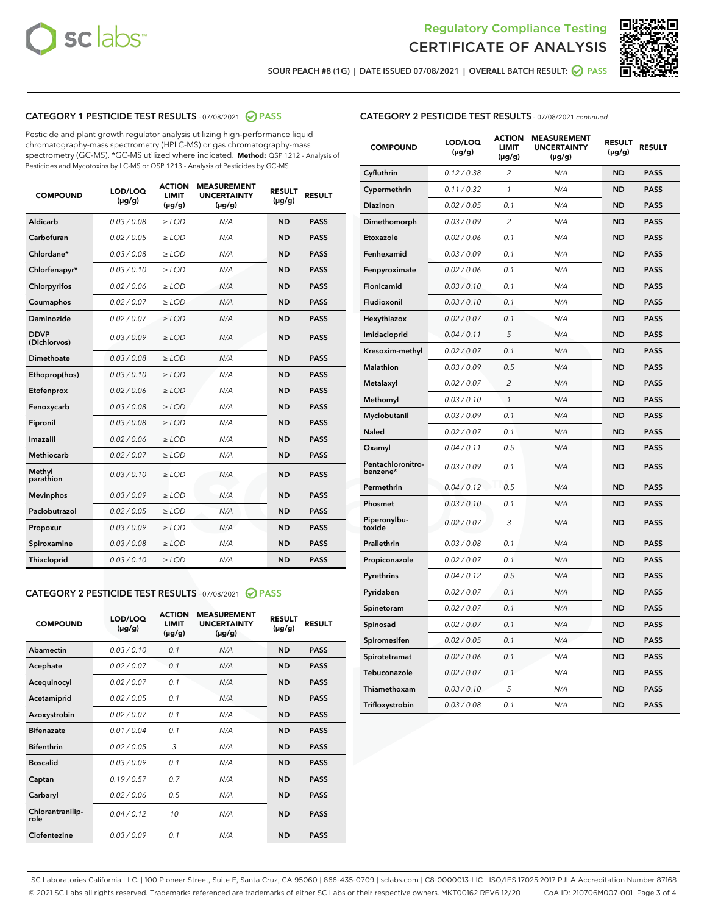



SOUR PEACH #8 (1G) | DATE ISSUED 07/08/2021 | OVERALL BATCH RESULT:  $\bigcirc$  PASS

# CATEGORY 1 PESTICIDE TEST RESULTS - 07/08/2021 2 PASS

Pesticide and plant growth regulator analysis utilizing high-performance liquid chromatography-mass spectrometry (HPLC-MS) or gas chromatography-mass spectrometry (GC-MS). \*GC-MS utilized where indicated. **Method:** QSP 1212 - Analysis of Pesticides and Mycotoxins by LC-MS or QSP 1213 - Analysis of Pesticides by GC-MS

| <b>COMPOUND</b>             | LOD/LOQ<br>$(\mu g/g)$ | <b>ACTION</b><br><b>LIMIT</b><br>$(\mu g/g)$ | <b>MEASUREMENT</b><br><b>UNCERTAINTY</b><br>$(\mu g/g)$ | <b>RESULT</b><br>$(\mu g/g)$ | <b>RESULT</b> |
|-----------------------------|------------------------|----------------------------------------------|---------------------------------------------------------|------------------------------|---------------|
| Aldicarb                    | 0.03/0.08              | $>$ LOD                                      | N/A                                                     | <b>ND</b>                    | <b>PASS</b>   |
| Carbofuran                  | 0.02 / 0.05            | $\ge$ LOD                                    | N/A                                                     | <b>ND</b>                    | <b>PASS</b>   |
| Chlordane*                  | 0.03/0.08              | $>$ LOD                                      | N/A                                                     | <b>ND</b>                    | <b>PASS</b>   |
| Chlorfenapyr*               | 0.03/0.10              | $\ge$ LOD                                    | N/A                                                     | <b>ND</b>                    | <b>PASS</b>   |
| Chlorpyrifos                | 0.02 / 0.06            | $\ge$ LOD                                    | N/A                                                     | <b>ND</b>                    | <b>PASS</b>   |
| Coumaphos                   | 0.02 / 0.07            | $\ge$ LOD                                    | N/A                                                     | <b>ND</b>                    | <b>PASS</b>   |
| Daminozide                  | 0.02 / 0.07            | $\ge$ LOD                                    | N/A                                                     | <b>ND</b>                    | <b>PASS</b>   |
| <b>DDVP</b><br>(Dichlorvos) | 0.03/0.09              | $\ge$ LOD                                    | N/A                                                     | <b>ND</b>                    | <b>PASS</b>   |
| <b>Dimethoate</b>           | 0.03/0.08              | $\ge$ LOD                                    | N/A                                                     | <b>ND</b>                    | <b>PASS</b>   |
| Ethoprop(hos)               | 0.03/0.10              | $\ge$ LOD                                    | N/A                                                     | <b>ND</b>                    | <b>PASS</b>   |
| Etofenprox                  | 0.02 / 0.06            | $\ge$ LOD                                    | N/A                                                     | <b>ND</b>                    | <b>PASS</b>   |
| Fenoxycarb                  | 0.03/0.08              | $\ge$ LOD                                    | N/A                                                     | <b>ND</b>                    | <b>PASS</b>   |
| Fipronil                    | 0.03/0.08              | $>$ LOD                                      | N/A                                                     | <b>ND</b>                    | <b>PASS</b>   |
| Imazalil                    | 0.02 / 0.06            | $>$ LOD                                      | N/A                                                     | <b>ND</b>                    | <b>PASS</b>   |
| Methiocarb                  | 0.02 / 0.07            | $\ge$ LOD                                    | N/A                                                     | <b>ND</b>                    | <b>PASS</b>   |
| Methyl<br>parathion         | 0.03/0.10              | $\ge$ LOD                                    | N/A                                                     | <b>ND</b>                    | <b>PASS</b>   |
| <b>Mevinphos</b>            | 0.03/0.09              | $\ge$ LOD                                    | N/A                                                     | <b>ND</b>                    | <b>PASS</b>   |
| Paclobutrazol               | 0.02 / 0.05            | $>$ LOD                                      | N/A                                                     | <b>ND</b>                    | <b>PASS</b>   |
| Propoxur                    | 0.03/0.09              | $\ge$ LOD                                    | N/A                                                     | <b>ND</b>                    | <b>PASS</b>   |
| Spiroxamine                 | 0.03 / 0.08            | $\ge$ LOD                                    | N/A                                                     | <b>ND</b>                    | <b>PASS</b>   |
| Thiacloprid                 | 0.03/0.10              | $\ge$ LOD                                    | N/A                                                     | <b>ND</b>                    | <b>PASS</b>   |

## CATEGORY 2 PESTICIDE TEST RESULTS - 07/08/2021 @ PASS

| <b>COMPOUND</b>          | LOD/LOO<br>$(\mu g/g)$ | <b>ACTION</b><br>LIMIT<br>$(\mu g/g)$ | <b>MEASUREMENT</b><br><b>UNCERTAINTY</b><br>$(\mu g/g)$ | <b>RESULT</b><br>$(\mu g/g)$ | <b>RESULT</b> |  |
|--------------------------|------------------------|---------------------------------------|---------------------------------------------------------|------------------------------|---------------|--|
| Abamectin                | 0.03/0.10              | 0.1                                   | N/A                                                     | <b>ND</b>                    | <b>PASS</b>   |  |
| Acephate                 | 0.02/0.07              | 0.1                                   | N/A                                                     | <b>ND</b>                    | <b>PASS</b>   |  |
| Acequinocyl              | 0.02/0.07              | 0.1                                   | N/A                                                     | <b>ND</b>                    | <b>PASS</b>   |  |
| Acetamiprid              | 0.02 / 0.05            | 0.1                                   | N/A                                                     | <b>ND</b>                    | <b>PASS</b>   |  |
| Azoxystrobin             | 0.02/0.07              | 0.1                                   | N/A                                                     | <b>ND</b>                    | <b>PASS</b>   |  |
| <b>Bifenazate</b>        | 0.01 / 0.04            | 0.1                                   | N/A                                                     | <b>ND</b>                    | <b>PASS</b>   |  |
| <b>Bifenthrin</b>        | 0.02/0.05              | 3                                     | N/A                                                     | <b>ND</b>                    | <b>PASS</b>   |  |
| <b>Boscalid</b>          | 0.03/0.09              | 0.1                                   | N/A                                                     | <b>ND</b>                    | <b>PASS</b>   |  |
| Captan                   | 0.19/0.57              | 0.7                                   | N/A                                                     | <b>ND</b>                    | <b>PASS</b>   |  |
| Carbaryl                 | 0.02/0.06              | 0.5                                   | N/A                                                     | <b>ND</b>                    | <b>PASS</b>   |  |
| Chlorantranilip-<br>role | 0.04/0.12              | 10                                    | N/A                                                     | <b>ND</b>                    | <b>PASS</b>   |  |
| Clofentezine             | 0.03/0.09              | 0.1                                   | N/A                                                     | <b>ND</b>                    | <b>PASS</b>   |  |

## CATEGORY 2 PESTICIDE TEST RESULTS - 07/08/2021 continued

| <b>COMPOUND</b>               | LOD/LOQ<br>$(\mu g/g)$ | <b>ACTION</b><br>LIMIT<br>$(\mu g/g)$ | <b>MEASUREMENT</b><br><b>UNCERTAINTY</b><br>(µg/g) | <b>RESULT</b><br>(µg/g) | <b>RESULT</b> |
|-------------------------------|------------------------|---------------------------------------|----------------------------------------------------|-------------------------|---------------|
| Cyfluthrin                    | 0.12 / 0.38            | 2                                     | N/A                                                | ND                      | <b>PASS</b>   |
| Cypermethrin                  | 0.11 / 0.32            | $\mathbf{1}$                          | N/A                                                | <b>ND</b>               | <b>PASS</b>   |
| <b>Diazinon</b>               | 0.02 / 0.05            | 0.1                                   | N/A                                                | ND                      | <b>PASS</b>   |
| Dimethomorph                  | 0.03 / 0.09            | 2                                     | N/A                                                | ND                      | <b>PASS</b>   |
| Etoxazole                     | 0.02 / 0.06            | 0.1                                   | N/A                                                | ND                      | <b>PASS</b>   |
| Fenhexamid                    | 0.03 / 0.09            | 0.1                                   | N/A                                                | ND                      | <b>PASS</b>   |
| Fenpyroximate                 | 0.02 / 0.06            | 0.1                                   | N/A                                                | ND                      | <b>PASS</b>   |
| Flonicamid                    | 0.03 / 0.10            | 0.1                                   | N/A                                                | <b>ND</b>               | <b>PASS</b>   |
| Fludioxonil                   | 0.03 / 0.10            | 0.1                                   | N/A                                                | ND                      | <b>PASS</b>   |
| Hexythiazox                   | 0.02 / 0.07            | 0.1                                   | N/A                                                | ND                      | <b>PASS</b>   |
| Imidacloprid                  | 0.04 / 0.11            | 5                                     | N/A                                                | <b>ND</b>               | <b>PASS</b>   |
| Kresoxim-methyl               | 0.02 / 0.07            | 0.1                                   | N/A                                                | <b>ND</b>               | <b>PASS</b>   |
| Malathion                     | 0.03 / 0.09            | 0.5                                   | N/A                                                | ND                      | <b>PASS</b>   |
| Metalaxyl                     | 0.02 / 0.07            | $\overline{c}$                        | N/A                                                | <b>ND</b>               | <b>PASS</b>   |
| Methomyl                      | 0.03 / 0.10            | 1                                     | N/A                                                | <b>ND</b>               | <b>PASS</b>   |
| Myclobutanil                  | 0.03 / 0.09            | 0.1                                   | N/A                                                | ND                      | <b>PASS</b>   |
| Naled                         | 0.02 / 0.07            | 0.1                                   | N/A                                                | ND                      | <b>PASS</b>   |
| Oxamyl                        | 0.04/0.11              | 0.5                                   | N/A                                                | ND                      | <b>PASS</b>   |
| Pentachloronitro-<br>benzene* | 0.03 / 0.09            | 0.1                                   | N/A                                                | ND                      | PASS          |
| Permethrin                    | 0.04 / 0.12            | 0.5                                   | N/A                                                | <b>ND</b>               | <b>PASS</b>   |
| Phosmet                       | 0.03/0.10              | 0.1                                   | N/A                                                | ND                      | <b>PASS</b>   |
| Piperonylbu-<br>toxide        | 0.02 / 0.07            | 3                                     | N/A                                                | ND                      | <b>PASS</b>   |
| Prallethrin                   | 0.03 / 0.08            | 0.1                                   | N/A                                                | ND                      | <b>PASS</b>   |
| Propiconazole                 | 0.02 / 0.07            | 0.1                                   | N/A                                                | ND                      | PASS          |
| Pyrethrins                    | 0.04 / 0.12            | 0.5                                   | N/A                                                | ND                      | <b>PASS</b>   |
| Pyridaben                     | 0.02 / 0.07            | 0.1                                   | N/A                                                | ND                      | PASS          |
| Spinetoram                    | 0.02 / 0.07            | 0.1                                   | N/A                                                | ND                      | PASS          |
| Spinosad                      | 0.02 / 0.07            | 0.1                                   | N/A                                                | <b>ND</b>               | <b>PASS</b>   |
| Spiromesifen                  | 0.02 / 0.05            | 0.1                                   | N/A                                                | ND                      | PASS          |
| Spirotetramat                 | 0.02 / 0.06            | 0.1                                   | N/A                                                | ND                      | <b>PASS</b>   |
| Tebuconazole                  | 0.02 / 0.07            | 0.1                                   | N/A                                                | ND                      | <b>PASS</b>   |
| Thiamethoxam                  | 0.03 / 0.10            | 5                                     | N/A                                                | ND                      | <b>PASS</b>   |
| Trifloxystrobin               | 0.03 / 0.08            | 0.1                                   | N/A                                                | <b>ND</b>               | <b>PASS</b>   |

SC Laboratories California LLC. | 100 Pioneer Street, Suite E, Santa Cruz, CA 95060 | 866-435-0709 | sclabs.com | C8-0000013-LIC | ISO/IES 17025:2017 PJLA Accreditation Number 87168 © 2021 SC Labs all rights reserved. Trademarks referenced are trademarks of either SC Labs or their respective owners. MKT00162 REV6 12/20 CoA ID: 210706M007-001 Page 3 of 4